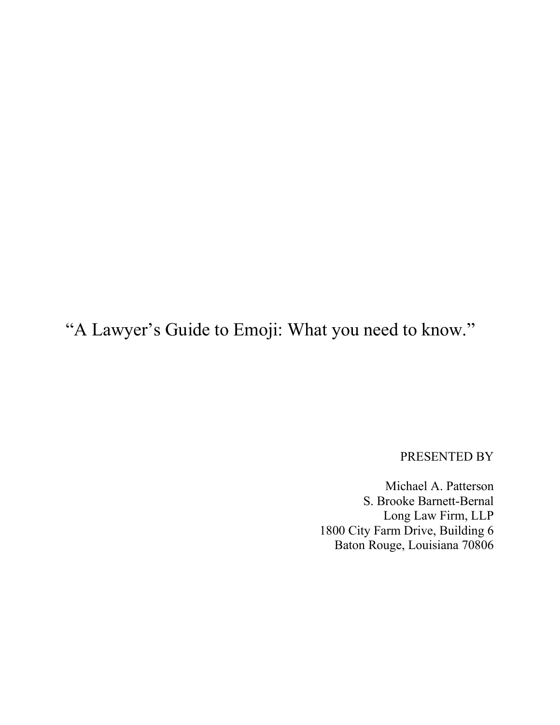"A Lawyer's Guide to Emoji: What you need to know."

PRESENTED BY

Michael A. Patterson S. Brooke Barnett-Bernal Long Law Firm, LLP 1800 City Farm Drive, Building 6 Baton Rouge, Louisiana 70806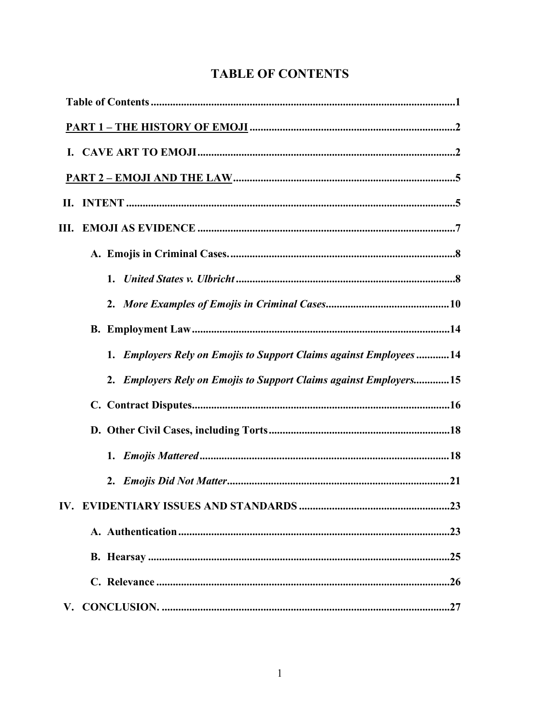| <b>TABLE OF CONTENTS</b> |
|--------------------------|
|--------------------------|

| 1. Employers Rely on Emojis to Support Claims against Employees14 |
|-------------------------------------------------------------------|
| 2. Employers Rely on Emojis to Support Claims against Employers15 |
|                                                                   |
|                                                                   |
|                                                                   |
|                                                                   |
|                                                                   |
|                                                                   |
|                                                                   |
|                                                                   |
|                                                                   |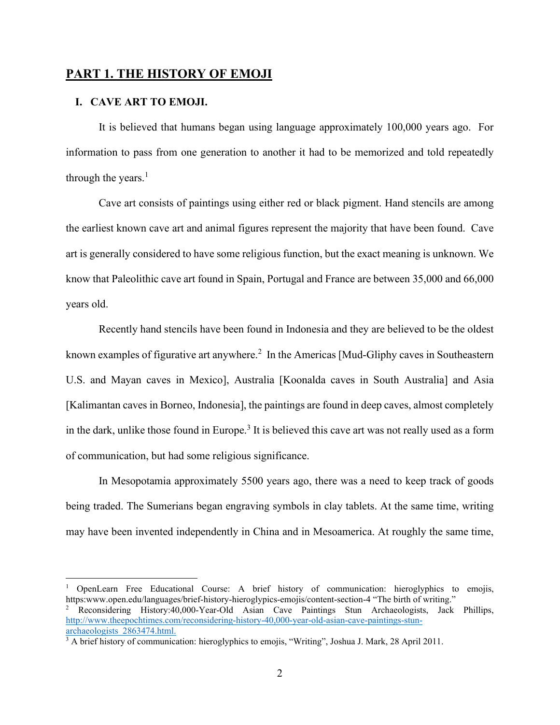# **PART 1. THE HISTORY OF EMOJI**

## **I. CAVE ART TO EMOJI.**

It is believed that humans began using language approximately 100,000 years ago. For information to pass from one generation to another it had to be memorized and told repeatedly through the years. $<sup>1</sup>$ </sup>

Cave art consists of paintings using either red or black pigment. Hand stencils are among the earliest known cave art and animal figures represent the majority that have been found. Cave art is generally considered to have some religious function, but the exact meaning is unknown. We know that Paleolithic cave art found in Spain, Portugal and France are between 35,000 and 66,000 years old.

Recently hand stencils have been found in Indonesia and they are believed to be the oldest known examples of figurative art anywhere. $^2$  In the Americas [Mud-Gliphy caves in Southeastern U.S. and Mayan caves in Mexico], Australia [Koonalda caves in South Australia] and Asia [Kalimantan caves in Borneo, Indonesia], the paintings are found in deep caves, almost completely in the dark, unlike those found in Europe.<sup>3</sup> It is believed this cave art was not really used as a form of communication, but had some religious significance.

In Mesopotamia approximately 5500 years ago, there was a need to keep track of goods being traded. The Sumerians began engraving symbols in clay tablets. At the same time, writing may have been invented independently in China and in Mesoamerica. At roughly the same time,

<sup>1</sup> OpenLearn Free Educational Course: A brief history of communication: hieroglyphics to emojis, https:www.open.edu/languages/brief-history-hieroglypics-emojis/content-section-4 "The birth of writing."

<sup>2</sup> Reconsidering History:40,000-Year-Old Asian Cave Paintings Stun Archaeologists, Jack Phillips, http://www.theepochtimes.com/reconsidering-history-40,000-year-old-asian-cave-paintings-stunarchaeologists\_2863474.html.

<sup>3</sup> A brief history of communication: hieroglyphics to emojis, "Writing", Joshua J. Mark, 28 April 2011.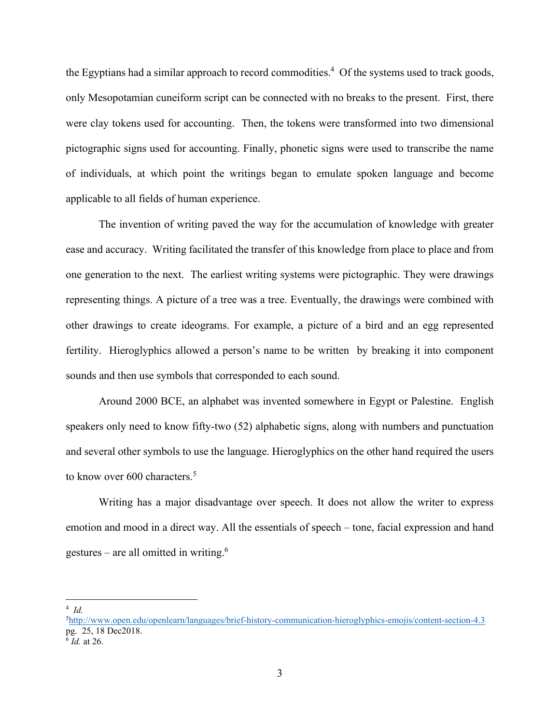the Egyptians had a similar approach to record commodities.<sup>4</sup> Of the systems used to track goods, only Mesopotamian cuneiform script can be connected with no breaks to the present. First, there were clay tokens used for accounting. Then, the tokens were transformed into two dimensional pictographic signs used for accounting. Finally, phonetic signs were used to transcribe the name of individuals, at which point the writings began to emulate spoken language and become applicable to all fields of human experience.

The invention of writing paved the way for the accumulation of knowledge with greater ease and accuracy. Writing facilitated the transfer of this knowledge from place to place and from one generation to the next. The earliest writing systems were pictographic. They were drawings representing things. A picture of a tree was a tree. Eventually, the drawings were combined with other drawings to create ideograms. For example, a picture of a bird and an egg represented fertility. Hieroglyphics allowed a person's name to be written by breaking it into component sounds and then use symbols that corresponded to each sound.

Around 2000 BCE, an alphabet was invented somewhere in Egypt or Palestine. English speakers only need to know fifty-two (52) alphabetic signs, along with numbers and punctuation and several other symbols to use the language. Hieroglyphics on the other hand required the users to know over 600 characters.<sup>5</sup>

Writing has a major disadvantage over speech. It does not allow the writer to express emotion and mood in a direct way. All the essentials of speech – tone, facial expression and hand gestures – are all omitted in writing. $6$ 

<sup>4</sup> *Id.* 

<sup>5</sup> http://www.open.edu/openlearn/languages/brief-history-communication-hieroglyphics-emojis/content-section-4.3 pg. 25, 18 Dec2018.

<sup>6</sup> *Id.* at 26.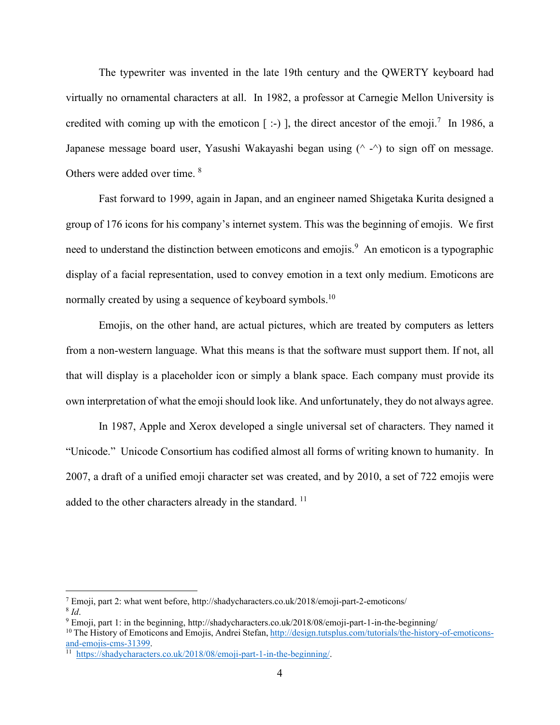The typewriter was invented in the late 19th century and the QWERTY keyboard had virtually no ornamental characters at all. In 1982, a professor at Carnegie Mellon University is credited with coming up with the emoticon  $[$  :-)  $]$ , the direct ancestor of the emoji.<sup>7</sup> In 1986, a Japanese message board user, Yasushi Wakayashi began using  $(^\wedge \text{-}^\wedge)$  to sign off on message. Others were added over time. <sup>8</sup>

Fast forward to 1999, again in Japan, and an engineer named Shigetaka Kurita designed a group of 176 icons for his company's internet system. This was the beginning of emojis. We first need to understand the distinction between emoticons and emojis.<sup>9</sup> An emoticon is a typographic display of a facial representation, used to convey emotion in a text only medium. Emoticons are normally created by using a sequence of keyboard symbols.<sup>10</sup>

Emojis, on the other hand, are actual pictures, which are treated by computers as letters from a non-western language. What this means is that the software must support them. If not, all that will display is a placeholder icon or simply a blank space. Each company must provide its own interpretation of what the emoji should look like. And unfortunately, they do not always agree.

In 1987, Apple and Xerox developed a single universal set of characters. They named it "Unicode." Unicode Consortium has codified almost all forms of writing known to humanity. In 2007, a draft of a unified emoji character set was created, and by 2010, a set of 722 emojis were added to the other characters already in the standard.<sup>11</sup>

<sup>7</sup> Emoji, part 2: what went before, http://shadycharacters.co.uk/2018/emoji-part-2-emoticons/  $8$  *Id.* 

<sup>9</sup> Emoji, part 1: in the beginning, http://shadycharacters.co.uk/2018/08/emoji-part-1-in-the-beginning/ <sup>10</sup> The History of Emoticons and Emojis, Andrei Stefan, http://design.tutsplus.com/tutorials/the-history-of-emoticonsand-emojis-cms-31399.

<sup>11</sup> https://shadycharacters.co.uk/2018/08/emoji-part-1-in-the-beginning/.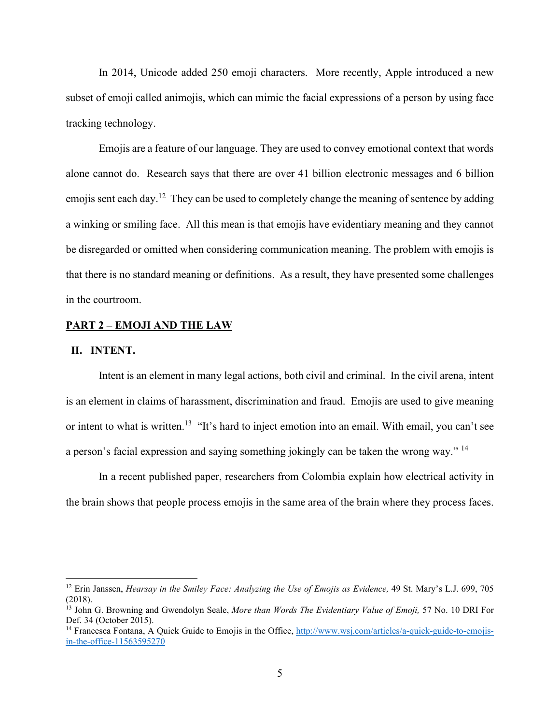In 2014, Unicode added 250 emoji characters. More recently, Apple introduced a new subset of emoji called animojis, which can mimic the facial expressions of a person by using face tracking technology.

Emojis are a feature of our language. They are used to convey emotional context that words alone cannot do. Research says that there are over 41 billion electronic messages and 6 billion emojis sent each day.<sup>12</sup> They can be used to completely change the meaning of sentence by adding a winking or smiling face. All this mean is that emojis have evidentiary meaning and they cannot be disregarded or omitted when considering communication meaning. The problem with emojis is that there is no standard meaning or definitions. As a result, they have presented some challenges in the courtroom.

### **PART 2 – EMOJI AND THE LAW**

#### **II. INTENT.**

Intent is an element in many legal actions, both civil and criminal. In the civil arena, intent is an element in claims of harassment, discrimination and fraud. Emojis are used to give meaning or intent to what is written.<sup>13</sup> "It's hard to inject emotion into an email. With email, you can't see a person's facial expression and saying something jokingly can be taken the wrong way." <sup>14</sup>

In a recent published paper, researchers from Colombia explain how electrical activity in the brain shows that people process emojis in the same area of the brain where they process faces.

<sup>&</sup>lt;sup>12</sup> Erin Janssen, *Hearsay in the Smiley Face: Analyzing the Use of Emojis as Evidence*, 49 St. Mary's L.J. 699, 705 (2018).

<sup>13</sup> John G. Browning and Gwendolyn Seale, *More than Words The Evidentiary Value of Emoji,* 57 No. 10 DRI For Def. 34 (October 2015).

<sup>&</sup>lt;sup>14</sup> Francesca Fontana, A Quick Guide to Emojis in the Office, http://www.wsj.com/articles/a-quick-guide-to-emojisin-the-office-11563595270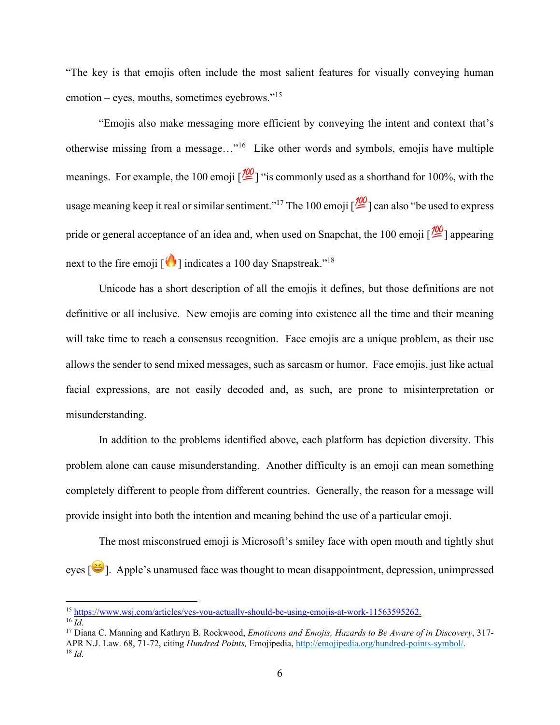"The key is that emojis often include the most salient features for visually conveying human emotion – eyes, mouths, sometimes eyebrows."<sup>15</sup>

"Emojis also make messaging more efficient by conveying the intent and context that's otherwise missing from a message…"16 Like other words and symbols, emojis have multiple meanings. For example, the 100 emoji  $\sqrt{2Q}$  "is commonly used as a shorthand for 100%, with the usage meaning keep it real or similar sentiment."<sup>17</sup> The 100 emoji  $\frac{100}{2}$  can also "be used to express pride or general acceptance of an idea and, when used on Snapchat, the 100 emoji  $\frac{100}{2}$ ] appearing next to the fire emoji  $\lceil \cdot \cdot \rceil$  indicates a 100 day Snapstreak."<sup>18</sup>

Unicode has a short description of all the emojis it defines, but those definitions are not definitive or all inclusive. New emojis are coming into existence all the time and their meaning will take time to reach a consensus recognition. Face emojis are a unique problem, as their use allows the sender to send mixed messages, such as sarcasm or humor. Face emojis, just like actual facial expressions, are not easily decoded and, as such, are prone to misinterpretation or misunderstanding.

In addition to the problems identified above, each platform has depiction diversity. This problem alone can cause misunderstanding. Another difficulty is an emoji can mean something completely different to people from different countries. Generally, the reason for a message will provide insight into both the intention and meaning behind the use of a particular emoji.

The most misconstrued emoji is Microsoft's smiley face with open mouth and tightly shut eyes [ ]. Apple's unamused face was thought to mean disappointment, depression, unimpressed

<sup>15</sup> https://www.wsj.com/articles/yes-you-actually-should-be-using-emojis-at-work-11563595262. <sup>16</sup> *Id.*

<sup>17</sup> Diana C. Manning and Kathryn B. Rockwood, *Emoticons and Emojis, Hazards to Be Aware of in Discovery*, 317- APR N.J. Law. 68, 71-72, citing *Hundred Points,* Emojipedia, http://emojipedia.org/hundred-points-symbol/. 18 *Id.*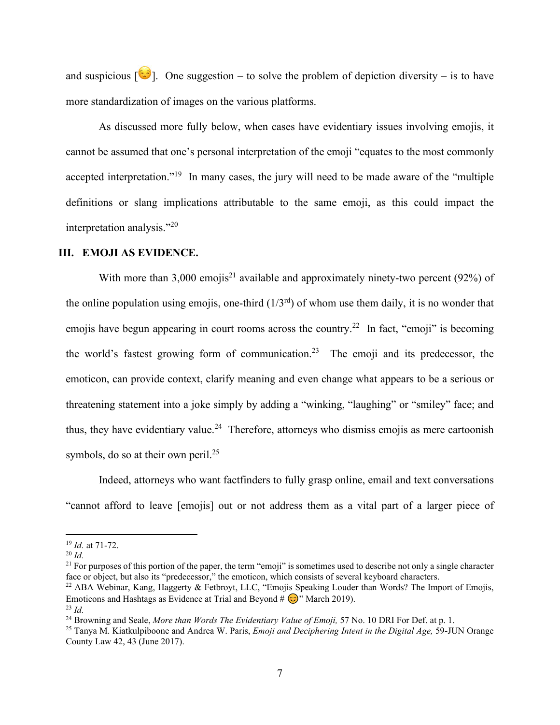and suspicious  $\begin{bmatrix} \bullet \\ \bullet \end{bmatrix}$ . One suggestion – to solve the problem of depiction diversity – is to have more standardization of images on the various platforms.

As discussed more fully below, when cases have evidentiary issues involving emojis, it cannot be assumed that one's personal interpretation of the emoji "equates to the most commonly accepted interpretation."<sup>19</sup> In many cases, the jury will need to be made aware of the "multiple" definitions or slang implications attributable to the same emoji, as this could impact the interpretation analysis."20

## **III. EMOJI AS EVIDENCE.**

With more than 3,000 emojis<sup>21</sup> available and approximately ninety-two percent (92%) of the online population using emojis, one-third  $(1/3<sup>rd</sup>)$  of whom use them daily, it is no wonder that emojis have begun appearing in court rooms across the country.<sup>22</sup> In fact, "emoji" is becoming the world's fastest growing form of communication. <sup>23</sup> The emoji and its predecessor, the emoticon, can provide context, clarify meaning and even change what appears to be a serious or threatening statement into a joke simply by adding a "winking, "laughing" or "smiley" face; and thus, they have evidentiary value.<sup>24</sup> Therefore, attorneys who dismiss emojis as mere cartoonish symbols, do so at their own peril. $^{25}$ 

Indeed, attorneys who want factfinders to fully grasp online, email and text conversations "cannot afford to leave [emojis] out or not address them as a vital part of a larger piece of

<sup>19</sup> *Id.* at 71-72.

 $^{20}$  *Id.* 

 $21$  For purposes of this portion of the paper, the term "emoji" is sometimes used to describe not only a single character face or object, but also its "predecessor," the emoticon, which consists of several keyboard characters.

<sup>&</sup>lt;sup>22</sup> ABA Webinar, Kang, Haggerty & Fetbroyt, LLC, "Emojis Speaking Louder than Words? The Import of Emojis, Emoticons and Hashtags as Evidence at Trial and Beyond #  $\circled{c}$ " March 2019). <sup>23</sup> *Id.* 

<sup>&</sup>lt;sup>24</sup> Browning and Seale, *More than Words The Evidentiary Value of Emoji*, 57 No. 10 DRI For Def. at p. 1.

<sup>25</sup> Tanya M. Kiatkulpiboone and Andrea W. Paris, *Emoji and Deciphering Intent in the Digital Age,* 59-JUN Orange County Law 42, 43 (June 2017).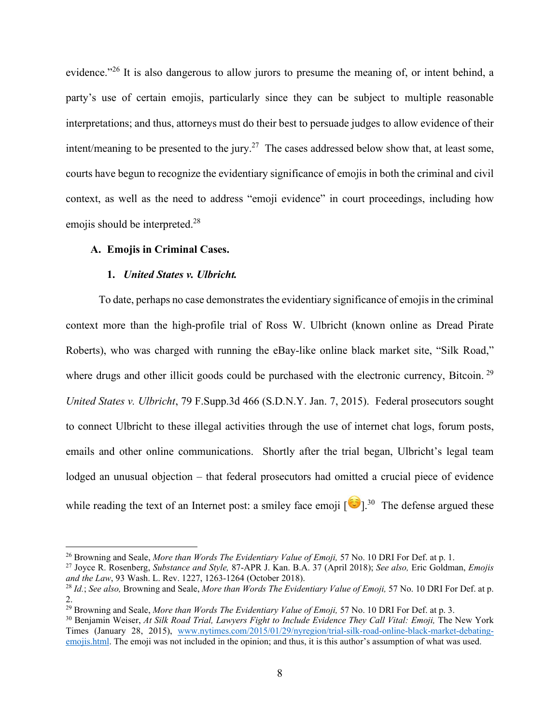evidence."<sup>26</sup> It is also dangerous to allow jurors to presume the meaning of, or intent behind, a party's use of certain emojis, particularly since they can be subject to multiple reasonable interpretations; and thus, attorneys must do their best to persuade judges to allow evidence of their intent/meaning to be presented to the jury.<sup>27</sup> The cases addressed below show that, at least some, courts have begun to recognize the evidentiary significance of emojis in both the criminal and civil context, as well as the need to address "emoji evidence" in court proceedings, including how emojis should be interpreted.<sup>28</sup>

## **A. Emojis in Criminal Cases.**

### **1.** *United States v. Ulbricht.*

To date, perhaps no case demonstrates the evidentiary significance of emojis in the criminal context more than the high-profile trial of Ross W. Ulbricht (known online as Dread Pirate Roberts), who was charged with running the eBay-like online black market site, "Silk Road," where drugs and other illicit goods could be purchased with the electronic currency, Bitcoin.<sup>29</sup> *United States v. Ulbricht*, 79 F.Supp.3d 466 (S.D.N.Y. Jan. 7, 2015). Federal prosecutors sought to connect Ulbricht to these illegal activities through the use of internet chat logs, forum posts, emails and other online communications. Shortly after the trial began, Ulbricht's legal team lodged an unusual objection – that federal prosecutors had omitted a crucial piece of evidence while reading the text of an Internet post: a smiley face emoji  $[\bullet]$ <sup>30</sup> The defense argued these

<sup>26</sup> Browning and Seale, *More than Words The Evidentiary Value of Emoji,* 57 No. 10 DRI For Def. at p. 1.

<sup>27</sup> Joyce R. Rosenberg, *Substance and Style,* 87-APR J. Kan. B.A. 37 (April 2018); *See also,* Eric Goldman, *Emojis and the Law*, 93 Wash. L. Rev. 1227, 1263-1264 (October 2018).

<sup>28</sup> *Id.*; *See also,* Browning and Seale, *More than Words The Evidentiary Value of Emoji,* 57 No. 10 DRI For Def. at p. 2.

<sup>&</sup>lt;sup>29</sup> Browning and Seale, *More than Words The Evidentiary Value of Emoji*, 57 No. 10 DRI For Def. at p. 3.

<sup>30</sup> Benjamin Weiser, *At Silk Road Trial, Lawyers Fight to Include Evidence They Call Vital: Emoji,* The New York Times (January 28, 2015), www.nytimes.com/2015/01/29/nyregion/trial-silk-road-online-black-market-debatingemojis.html. The emoji was not included in the opinion; and thus, it is this author's assumption of what was used.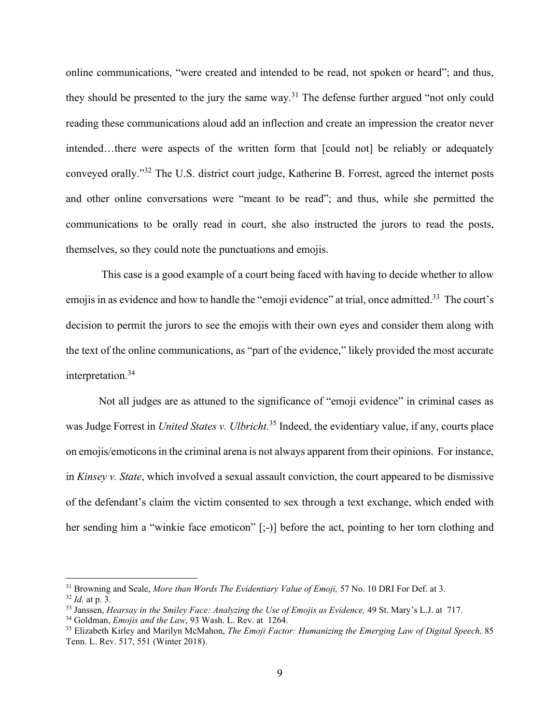online communications, "were created and intended to be read, not spoken or heard"; and thus, they should be presented to the jury the same way.<sup>31</sup> The defense further argued "not only could reading these communications aloud add an inflection and create an impression the creator never intended…there were aspects of the written form that [could not] be reliably or adequately conveyed orally."<sup>32</sup> The U.S. district court judge, Katherine B. Forrest, agreed the internet posts and other online conversations were "meant to be read"; and thus, while she permitted the communications to be orally read in court, she also instructed the jurors to read the posts, themselves, so they could note the punctuations and emojis.

This case is a good example of a court being faced with having to decide whether to allow emojis in as evidence and how to handle the "emoji evidence" at trial, once admitted.<sup>33</sup> The court's decision to permit the jurors to see the emojis with their own eyes and consider them along with the text of the online communications, as "part of the evidence," likely provided the most accurate interpretation.<sup>34</sup>

Not all judges are as attuned to the significance of "emoji evidence" in criminal cases as was Judge Forrest in *United States v. Ulbricht.* <sup>35</sup> Indeed, the evidentiary value, if any, courts place on emojis/emoticons in the criminal arena is not always apparent from their opinions. For instance, in *Kinsey v. State*, which involved a sexual assault conviction, the court appeared to be dismissive of the defendant's claim the victim consented to sex through a text exchange, which ended with her sending him a "winkie face emoticon" [;-)] before the act, pointing to her torn clothing and

<sup>&</sup>lt;sup>31</sup> Browning and Seale, *More than Words The Evidentiary Value of Emoji*, 57 No. 10 DRI For Def. at 3.

<sup>32</sup> *Id.* at p. 3.

<sup>&</sup>lt;sup>33</sup> Janssen, *Hearsay in the Smiley Face: Analyzing the Use of Emojis as Evidence*, 49 St. Mary's L.J. at 717.<br><sup>34</sup> Goldman, *Emojis and the Law*, 93 Wash. L. Rev. at 1264.

<sup>&</sup>lt;sup>35</sup> Elizabeth Kirley and Marilyn McMahon, *The Emoji Factor: Humanizing the Emerging Law of Digital Speech*, 85 Tenn. L. Rev. 517, 551 (Winter 2018).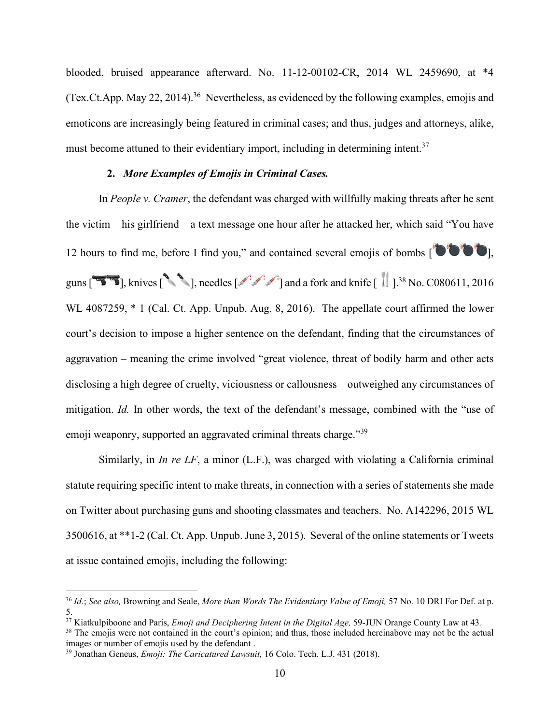blooded, bruised appearance afterward. No. 11-12-00102-CR, 2014 WL 2459690, at \*4 (Tex.Ct.App. May 22, 2014).<sup>36</sup> Nevertheless, as evidenced by the following examples, emojis and emoticons are increasingly being featured in criminal cases; and thus, judges and attorneys, alike, must become attuned to their evidentiary import, including in determining intent.<sup>37</sup>

### **2.** *More Examples of Emojis in Criminal Cases.*

In *People v. Cramer*, the defendant was charged with willfully making threats after he sent the victim – his girlfriend – a text message one hour after he attacked her, which said "You have 12 hours to find me, before I find you," and contained several emojis of bombs  $\begin{bmatrix} \bullet & \bullet & \bullet \\ \bullet & \bullet & \bullet \end{bmatrix}$ , guns  $\begin{bmatrix} 2 \end{bmatrix}$ , knives  $\begin{bmatrix} 1 \end{bmatrix}$ , needles  $\begin{bmatrix} 1 \end{bmatrix}$  and a fork and knife  $\begin{bmatrix} 1 \end{bmatrix}$ .<sup>38</sup> No. C080611, 2016 WL 4087259,  $*$  1 (Cal. Ct. App. Unpub. Aug. 8, 2016). The appellate court affirmed the lower court's decision to impose a higher sentence on the defendant, finding that the circumstances of aggravation – meaning the crime involved "great violence, threat of bodily harm and other acts disclosing a high degree of cruelty, viciousness or callousness – outweighed any circumstances of mitigation. *Id.* In other words, the text of the defendant's message, combined with the "use of emoji weaponry, supported an aggravated criminal threats charge."<sup>39</sup>

Similarly, in *In re LF*, a minor (L.F.), was charged with violating a California criminal statute requiring specific intent to make threats, in connection with a series of statements she made on Twitter about purchasing guns and shooting classmates and teachers. No. A142296, 2015 WL 3500616, at \*\*1-2 (Cal. Ct. App. Unpub. June 3, 2015). Several of the online statements or Tweets at issue contained emojis, including the following:

<sup>36</sup> *Id.*; *See also,* Browning and Seale, *More than Words The Evidentiary Value of Emoji,* 57 No. 10 DRI For Def. at p. 5.

<sup>37</sup> Kiatkulpiboone and Paris, *Emoji and Deciphering Intent in the Digital Age,* 59-JUN Orange County Law at 43*.*

<sup>&</sup>lt;sup>38</sup> The emojis were not contained in the court's opinion; and thus, those included hereinabove may not be the actual images or number of emojis used by the defendant.

<sup>&</sup>lt;sup>39</sup> Jonathan Geneus, *Emoji: The Caricatured Lawsuit*, 16 Colo. Tech. L.J. 431 (2018).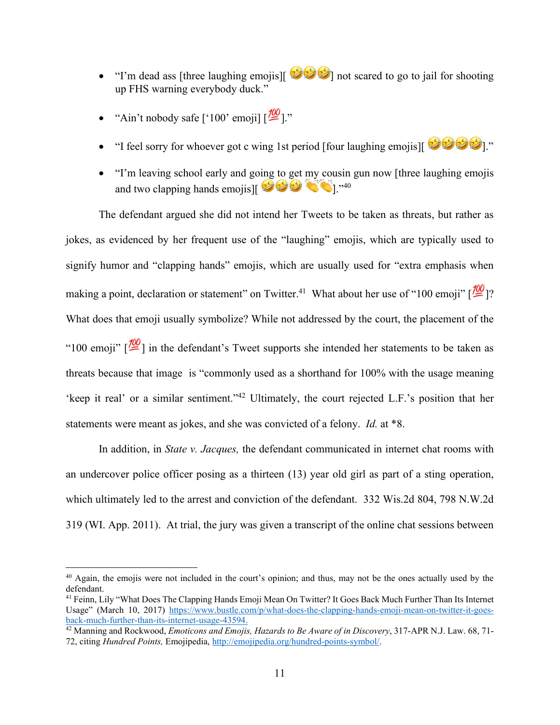- $\bullet$  "I'm dead ass [three laughing emojis][  $\bullet$   $\bullet$ ] not scared to go to jail for shooting up FHS warning everybody duck."
- "Ain't nobody safe  $[100'$  emoji]  $\frac{100}{2}$ ]."
- $\bullet$  "I feel sorry for whoever got c wing 1st period [four laughing emojis][
- "I'm leaving school early and going to get my cousin gun now [three laughing emojis and two clapping hands emojis][

The defendant argued she did not intend her Tweets to be taken as threats, but rather as jokes, as evidenced by her frequent use of the "laughing" emojis, which are typically used to signify humor and "clapping hands" emojis, which are usually used for "extra emphasis when making a point, declaration or statement" on Twitter.<sup>41</sup> What about her use of "100 emoji"  $\sqrt{2}$  ? What does that emoji usually symbolize? While not addressed by the court, the placement of the "100 emoji"  $\sqrt{2}$ ] in the defendant's Tweet supports she intended her statements to be taken as threats because that image is "commonly used as a shorthand for 100% with the usage meaning 'keep it real' or a similar sentiment."<sup>42</sup> Ultimately, the court rejected L.F.'s position that her statements were meant as jokes, and she was convicted of a felony. *Id.* at \*8.

In addition, in *State v. Jacques,* the defendant communicated in internet chat rooms with an undercover police officer posing as a thirteen (13) year old girl as part of a sting operation, which ultimately led to the arrest and conviction of the defendant. 332 Wis.2d 804, 798 N.W.2d 319 (WI. App. 2011). At trial, the jury was given a transcript of the online chat sessions between

<sup>&</sup>lt;sup>40</sup> Again, the emojis were not included in the court's opinion; and thus, may not be the ones actually used by the defendant.

<sup>41</sup> Feinn, Lily "What Does The Clapping Hands Emoji Mean On Twitter? It Goes Back Much Further Than Its Internet Usage" (March 10, 2017) https://www.bustle.com/p/what-does-the-clapping-hands-emoji-mean-on-twitter-it-goesback-much-further-than-its-internet-usage-43594.

<sup>42</sup> Manning and Rockwood, *Emoticons and Emojis, Hazards to Be Aware of in Discovery*, 317-APR N.J. Law. 68, 71- 72, citing *Hundred Points,* Emojipedia, http://emojipedia.org/hundred-points-symbol/.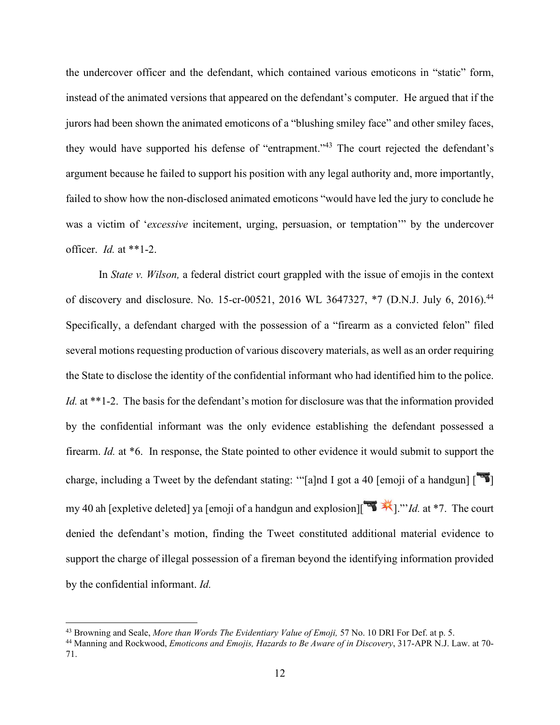the undercover officer and the defendant, which contained various emoticons in "static" form, instead of the animated versions that appeared on the defendant's computer. He argued that if the jurors had been shown the animated emoticons of a "blushing smiley face" and other smiley faces, they would have supported his defense of "entrapment."<sup>43</sup> The court rejected the defendant's argument because he failed to support his position with any legal authority and, more importantly, failed to show how the non-disclosed animated emoticons "would have led the jury to conclude he was a victim of '*excessive* incitement, urging, persuasion, or temptation'" by the undercover officer. *Id.* at \*\*1-2.

In *State v. Wilson,* a federal district court grappled with the issue of emojis in the context of discovery and disclosure. No. 15-cr-00521, 2016 WL 3647327, \*7 (D.N.J. July 6, 2016).<sup>44</sup> Specifically, a defendant charged with the possession of a "firearm as a convicted felon" filed several motions requesting production of various discovery materials, as well as an order requiring the State to disclose the identity of the confidential informant who had identified him to the police. *Id.* at \*\*1-2. The basis for the defendant's motion for disclosure was that the information provided by the confidential informant was the only evidence establishing the defendant possessed a firearm. *Id.* at \*6. In response, the State pointed to other evidence it would submit to support the charge, including a Tweet by the defendant stating: "[a]nd I got a 40 [emoji of a handgun]  $\begin{bmatrix} 16 \\ 21 \end{bmatrix}$ my 40 ah [expletive deleted] ya [emoji of a handgun and explosion][<sup> $\mathbb{R}$ </sup>. <sup>\*</sup>*]*."*Id.* at \*7. The court denied the defendant's motion, finding the Tweet constituted additional material evidence to support the charge of illegal possession of a fireman beyond the identifying information provided by the confidential informant. *Id.* 

<sup>43</sup> Browning and Seale, *More than Words The Evidentiary Value of Emoji,* 57 No. 10 DRI For Def. at p. 5.

<sup>44</sup> Manning and Rockwood, *Emoticons and Emojis, Hazards to Be Aware of in Discovery*, 317-APR N.J. Law. at 70- 71.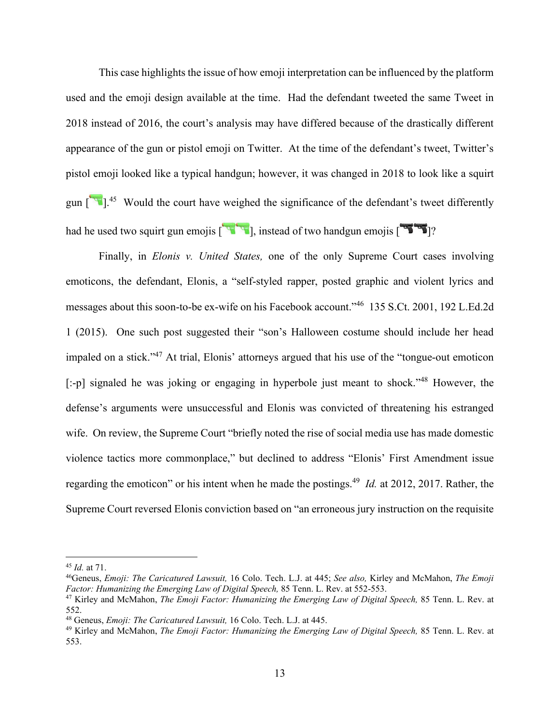This case highlights the issue of how emoji interpretation can be influenced by the platform used and the emoji design available at the time. Had the defendant tweeted the same Tweet in 2018 instead of 2016, the court's analysis may have differed because of the drastically different appearance of the gun or pistol emoji on Twitter. At the time of the defendant's tweet, Twitter's pistol emoji looked like a typical handgun; however, it was changed in 2018 to look like a squirt gun  $\left[$   $\bullet$   $\right]$ .<sup>45</sup> Would the court have weighed the significance of the defendant's tweet differently had he used two squirt gun emojis  $\left[\begin{array}{c} \sqrt{1+\frac{1}{2}} \\ 1 \end{array}\right]$ , instead of two handgun emojis  $\left[\begin{array}{c} \sqrt{1+\frac{1}{2}} \\ 2 \end{array}\right]$ ?

Finally, in *Elonis v. United States,* one of the only Supreme Court cases involving emoticons, the defendant, Elonis, a "self-styled rapper, posted graphic and violent lyrics and messages about this soon-to-be ex-wife on his Facebook account."46 135 S.Ct. 2001, 192 L.Ed.2d 1 (2015). One such post suggested their "son's Halloween costume should include her head impaled on a stick."47 At trial, Elonis' attorneys argued that his use of the "tongue-out emoticon [:-p] signaled he was joking or engaging in hyperbole just meant to shock."<sup>48</sup> However, the defense's arguments were unsuccessful and Elonis was convicted of threatening his estranged wife. On review, the Supreme Court "briefly noted the rise of social media use has made domestic violence tactics more commonplace," but declined to address "Elonis' First Amendment issue regarding the emoticon" or his intent when he made the postings. 49 *Id.* at 2012, 2017. Rather, the Supreme Court reversed Elonis conviction based on "an erroneous jury instruction on the requisite

<sup>45</sup> *Id.* at 71.

<sup>46</sup>Geneus, *Emoji: The Caricatured Lawsuit,* 16 Colo. Tech. L.J. at 445; *See also,* Kirley and McMahon, *The Emoji Factor: Humanizing the Emerging Law of Digital Speech,* 85 Tenn. L. Rev. at 552-553.

<sup>47</sup> Kirley and McMahon, *The Emoji Factor: Humanizing the Emerging Law of Digital Speech,* 85 Tenn. L. Rev. at 552.

<sup>48</sup> Geneus, *Emoji: The Caricatured Lawsuit,* 16 Colo. Tech. L.J. at 445.

<sup>49</sup> Kirley and McMahon, *The Emoji Factor: Humanizing the Emerging Law of Digital Speech,* 85 Tenn. L. Rev. at 553.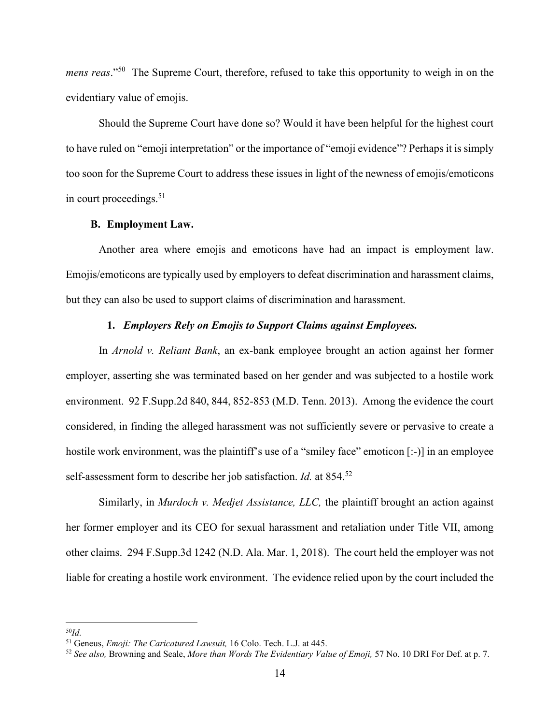*mens reas*."<sup>50</sup> The Supreme Court, therefore, refused to take this opportunity to weigh in on the evidentiary value of emojis.

Should the Supreme Court have done so? Would it have been helpful for the highest court to have ruled on "emoji interpretation" or the importance of "emoji evidence"? Perhaps it is simply too soon for the Supreme Court to address these issues in light of the newness of emojis/emoticons in court proceedings. 51

### **B. Employment Law.**

Another area where emojis and emoticons have had an impact is employment law. Emojis/emoticons are typically used by employers to defeat discrimination and harassment claims, but they can also be used to support claims of discrimination and harassment.

## **1.** *Employers Rely on Emojis to Support Claims against Employees.*

In *Arnold v. Reliant Bank*, an ex-bank employee brought an action against her former employer, asserting she was terminated based on her gender and was subjected to a hostile work environment. 92 F.Supp.2d 840, 844, 852-853 (M.D. Tenn. 2013). Among the evidence the court considered, in finding the alleged harassment was not sufficiently severe or pervasive to create a hostile work environment, was the plaintiff's use of a "smiley face" emoticon [:-)] in an employee self-assessment form to describe her job satisfaction. *Id.* at 854.<sup>52</sup>

Similarly, in *Murdoch v. Medjet Assistance, LLC,* the plaintiff brought an action against her former employer and its CEO for sexual harassment and retaliation under Title VII, among other claims. 294 F.Supp.3d 1242 (N.D. Ala. Mar. 1, 2018). The court held the employer was not liable for creating a hostile work environment. The evidence relied upon by the court included the

<sup>&</sup>lt;sup>50</sup>*Id.* Ceneus, *Emoji: The Caricatured Lawsuit*, 16 Colo. Tech. L.J. at 445.

<sup>&</sup>lt;sup>52</sup> See also, Browning and Seale, *More than Words The Evidentiary Value of Emoji*, 57 No. 10 DRI For Def. at p. 7.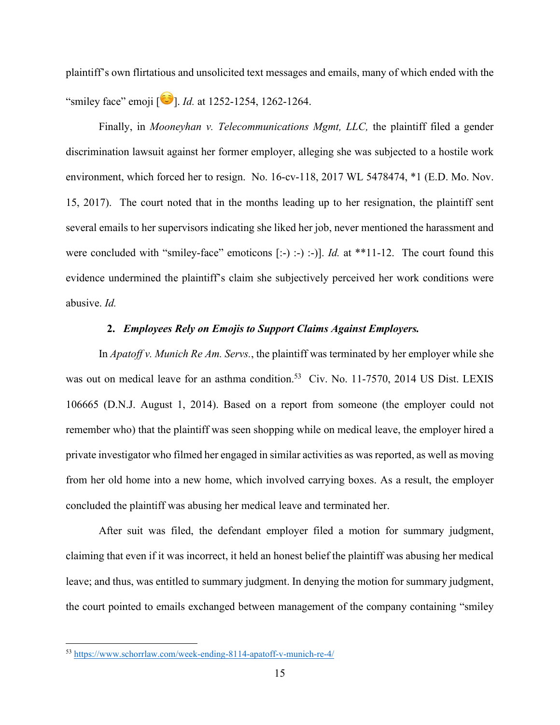plaintiff's own flirtatious and unsolicited text messages and emails, many of which ended with the "smiley face" emoji  $\boxed{\bullet}$ . *Id.* at 1252-1254, 1262-1264.

Finally, in *Mooneyhan v. Telecommunications Mgmt, LLC,* the plaintiff filed a gender discrimination lawsuit against her former employer, alleging she was subjected to a hostile work environment, which forced her to resign. No. 16-cv-118, 2017 WL 5478474, \*1 (E.D. Mo. Nov. 15, 2017). The court noted that in the months leading up to her resignation, the plaintiff sent several emails to her supervisors indicating she liked her job, never mentioned the harassment and were concluded with "smiley-face" emoticons [:-) :-) :-)]. *Id.* at \*\*11-12. The court found this evidence undermined the plaintiff's claim she subjectively perceived her work conditions were abusive. *Id.* 

# **2.** *Employees Rely on Emojis to Support Claims Against Employers.*

In *Apatoff v. Munich Re Am. Servs.*, the plaintiff was terminated by her employer while she was out on medical leave for an asthma condition.<sup>53</sup> Civ. No. 11-7570, 2014 US Dist. LEXIS 106665 (D.N.J. August 1, 2014). Based on a report from someone (the employer could not remember who) that the plaintiff was seen shopping while on medical leave, the employer hired a private investigator who filmed her engaged in similar activities as was reported, as well as moving from her old home into a new home, which involved carrying boxes. As a result, the employer concluded the plaintiff was abusing her medical leave and terminated her.

After suit was filed, the defendant employer filed a motion for summary judgment, claiming that even if it was incorrect, it held an honest belief the plaintiff was abusing her medical leave; and thus, was entitled to summary judgment. In denying the motion for summary judgment, the court pointed to emails exchanged between management of the company containing "smiley

<sup>53</sup> https://www.schorrlaw.com/week-ending-8114-apatoff-v-munich-re-4/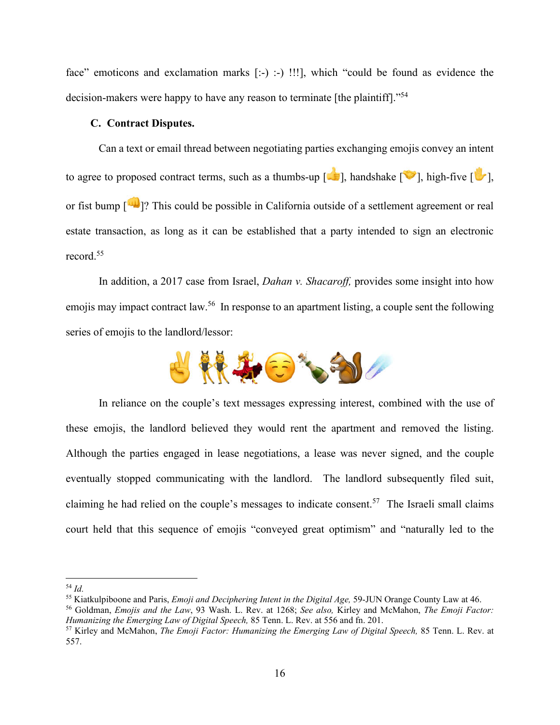face" emoticons and exclamation marks [:-) :-) !!!], which "could be found as evidence the decision-makers were happy to have any reason to terminate [the plaintiff]."<sup>54</sup>

## **C. Contract Disputes.**

Can a text or email thread between negotiating parties exchanging emojis convey an intent to agree to proposed contract terms, such as a thumbs-up  $\lceil \cdot \cdot \rceil$ , handshake  $\lceil \cdot \cdot \rceil$ , high-five  $\lceil \cdot \cdot \rceil$ , or fist bump [ $\Box$ ]? This could be possible in California outside of a settlement agreement or real estate transaction, as long as it can be established that a party intended to sign an electronic record.<sup>55</sup>

In addition, a 2017 case from Israel, *Dahan v. Shacaroff,* provides some insight into how emojis may impact contract law.<sup>56</sup> In response to an apartment listing, a couple sent the following series of emojis to the landlord/lessor:



In reliance on the couple's text messages expressing interest, combined with the use of these emojis, the landlord believed they would rent the apartment and removed the listing. Although the parties engaged in lease negotiations, a lease was never signed, and the couple eventually stopped communicating with the landlord. The landlord subsequently filed suit, claiming he had relied on the couple's messages to indicate consent.<sup>57</sup> The Israeli small claims court held that this sequence of emojis "conveyed great optimism" and "naturally led to the

<sup>&</sup>lt;sup>54</sup> *Id.*<br><sup>55</sup> Kiatkulpiboone and Paris, *Emoji and Deciphering Intent in the Digital Age*, 59-JUN Orange County Law at 46.

<sup>&</sup>lt;sup>56</sup> Goldman, *Emojis and the Law*, 93 Wash. L. Rev. at 1268; *See also*, Kirley and McMahon, *The Emoji Factor:*<br>Humanizing the Emerging Law of Digital Speech, 85 Tenn. L. Rev. at 556 and fn. 201.

<sup>&</sup>lt;sup>57</sup> Kirley and McMahon, *The Emoji Factor: Humanizing the Emerging Law of Digital Speech, 85 Tenn. L. Rev. at* 557.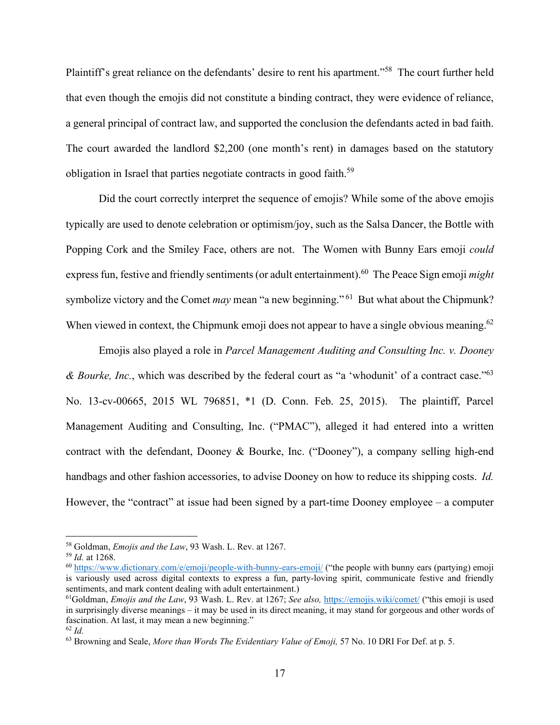Plaintiff's great reliance on the defendants' desire to rent his apartment."58 The court further held that even though the emojis did not constitute a binding contract, they were evidence of reliance, a general principal of contract law, and supported the conclusion the defendants acted in bad faith. The court awarded the landlord \$2,200 (one month's rent) in damages based on the statutory obligation in Israel that parties negotiate contracts in good faith.<sup>59</sup>

Did the court correctly interpret the sequence of emojis? While some of the above emojis typically are used to denote celebration or optimism/joy, such as the Salsa Dancer, the Bottle with Popping Cork and the Smiley Face, others are not. The Women with Bunny Ears emoji *could* express fun, festive and friendly sentiments(or adult entertainment). 60 The Peace Sign emoji *might*  symbolize victory and the Comet *may* mean "a new beginning." 61 But what about the Chipmunk? When viewed in context, the Chipmunk emoji does not appear to have a single obvious meaning.<sup>62</sup>

Emojis also played a role in *Parcel Management Auditing and Consulting Inc. v. Dooney & Bourke, Inc.*, which was described by the federal court as "a 'whodunit' of a contract case."63 No. 13-cv-00665, 2015 WL 796851, \*1 (D. Conn. Feb. 25, 2015). The plaintiff, Parcel Management Auditing and Consulting, Inc. ("PMAC"), alleged it had entered into a written contract with the defendant, Dooney & Bourke, Inc. ("Dooney"), a company selling high-end handbags and other fashion accessories, to advise Dooney on how to reduce its shipping costs. *Id.*  However, the "contract" at issue had been signed by a part-time Dooney employee – a computer

<sup>58</sup> Goldman, *Emojis and the Law*, 93 Wash. L. Rev. at 1267.

<sup>59</sup> *Id.* at 1268.

 $^{60}$  https://www.dictionary.com/e/emoji/people-with-bunny-ears-emoji/ ("the people with bunny ears (partying) emoji is variously used across digital contexts to express a fun, party-loving spirit, communicate festive and friendly sentiments, and mark content dealing with adult entertainment.)

<sup>&</sup>lt;sup>61</sup>Goldman, *Emojis and the Law*, 93 Wash. L. Rev. at 1267; *See also*, https://emojis.wiki/comet/ ("this emoji is used in surprisingly diverse meanings – it may be used in its direct meaning, it may stand for gorgeous and other words of fascination. At last, it may mean a new beginning."  $62$  *Id.* 

<sup>63</sup> Browning and Seale, *More than Words The Evidentiary Value of Emoji,* 57 No. 10 DRI For Def. at p. 5.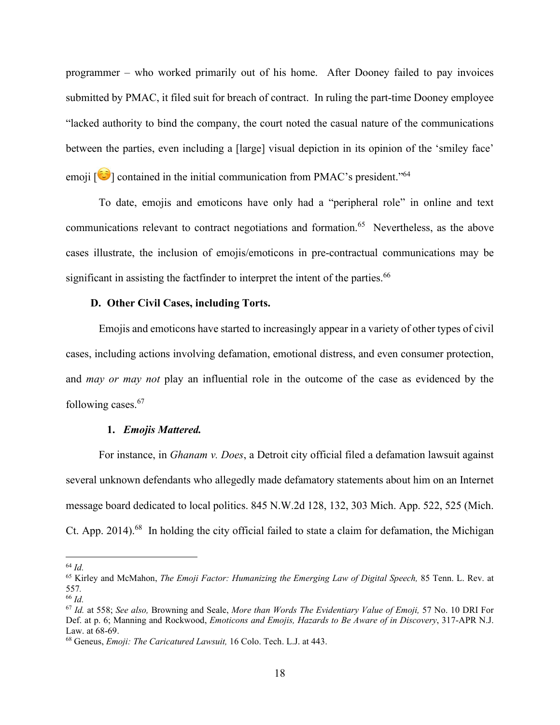programmer – who worked primarily out of his home. After Dooney failed to pay invoices submitted by PMAC, it filed suit for breach of contract. In ruling the part-time Dooney employee "lacked authority to bind the company, the court noted the casual nature of the communications between the parties, even including a [large] visual depiction in its opinion of the 'smiley face' emoji  $[\bullet]$  contained in the initial communication from PMAC's president."<sup>64</sup>

To date, emojis and emoticons have only had a "peripheral role" in online and text communications relevant to contract negotiations and formation.<sup>65</sup> Nevertheless, as the above cases illustrate, the inclusion of emojis/emoticons in pre-contractual communications may be significant in assisting the factfinder to interpret the intent of the parties.<sup>66</sup>

## **D. Other Civil Cases, including Torts.**

Emojis and emoticons have started to increasingly appear in a variety of other types of civil cases, including actions involving defamation, emotional distress, and even consumer protection, and *may or may not* play an influential role in the outcome of the case as evidenced by the following cases. 67

#### **1.** *Emojis Mattered.*

For instance, in *Ghanam v. Does*, a Detroit city official filed a defamation lawsuit against several unknown defendants who allegedly made defamatory statements about him on an Internet message board dedicated to local politics. 845 N.W.2d 128, 132, 303 Mich. App. 522, 525 (Mich. Ct. App. 2014).<sup>68</sup> In holding the city official failed to state a claim for defamation, the Michigan

<sup>64</sup> *Id.* 

<sup>65</sup> Kirley and McMahon, *The Emoji Factor: Humanizing the Emerging Law of Digital Speech,* 85 Tenn. L. Rev. at 557*.* 

<sup>66</sup> *Id.* 

<sup>67</sup> *Id.* at 558; *See also,* Browning and Seale, *More than Words The Evidentiary Value of Emoji,* 57 No. 10 DRI For Def. at p. 6; Manning and Rockwood, *Emoticons and Emojis, Hazards to Be Aware of in Discovery*, 317-APR N.J. Law. at 68-69.

<sup>68</sup> Geneus, *Emoji: The Caricatured Lawsuit,* 16 Colo. Tech. L.J. at 443.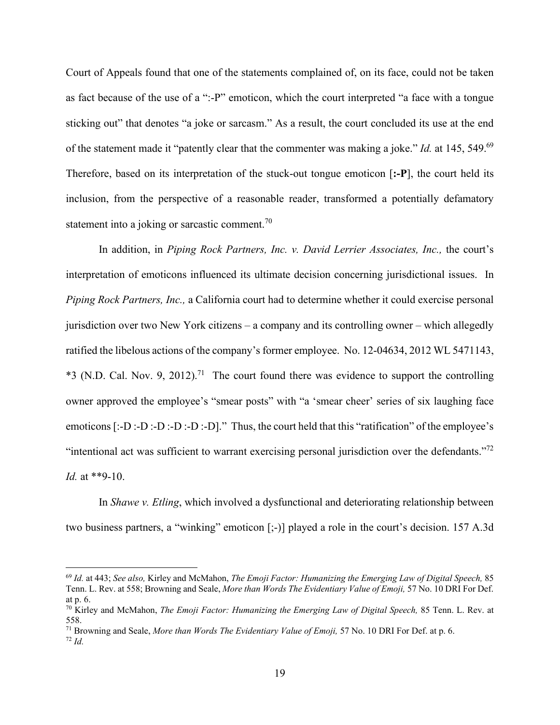Court of Appeals found that one of the statements complained of, on its face, could not be taken as fact because of the use of a ":-P" emoticon, which the court interpreted "a face with a tongue sticking out" that denotes "a joke or sarcasm." As a result, the court concluded its use at the end of the statement made it "patently clear that the commenter was making a joke." *Id.* at 145, 549.69 Therefore, based on its interpretation of the stuck-out tongue emoticon [**:-P**], the court held its inclusion, from the perspective of a reasonable reader, transformed a potentially defamatory statement into a joking or sarcastic comment.<sup>70</sup>

In addition, in *Piping Rock Partners, Inc. v. David Lerrier Associates, Inc., the court's* interpretation of emoticons influenced its ultimate decision concerning jurisdictional issues. In *Piping Rock Partners, Inc.,* a California court had to determine whether it could exercise personal jurisdiction over two New York citizens – a company and its controlling owner – which allegedly ratified the libelous actions of the company's former employee. No. 12-04634, 2012 WL 5471143, \*3 (N.D. Cal. Nov. 9, 2012).<sup>71</sup> The court found there was evidence to support the controlling owner approved the employee's "smear posts" with "a 'smear cheer' series of six laughing face emoticons [:-D :-D :-D :-D :-D :-D]." Thus, the court held that this "ratification" of the employee's "intentional act was sufficient to warrant exercising personal jurisdiction over the defendants."<sup>72</sup> *Id.* at \*\*9-10.

In *Shawe v. Etling*, which involved a dysfunctional and deteriorating relationship between two business partners, a "winking" emoticon [;-)] played a role in the court's decision. 157 A.3d

<sup>69</sup> *Id.* at 443; *See also,* Kirley and McMahon, *The Emoji Factor: Humanizing the Emerging Law of Digital Speech,* 85 Tenn. L. Rev. at 558; Browning and Seale, *More than Words The Evidentiary Value of Emoji,* 57 No. 10 DRI For Def. at p. 6.

<sup>70</sup> Kirley and McMahon, *The Emoji Factor: Humanizing the Emerging Law of Digital Speech,* 85 Tenn. L. Rev. at 558.

<sup>71</sup> Browning and Seale, *More than Words The Evidentiary Value of Emoji,* 57 No. 10 DRI For Def. at p. 6.  $72$  *Id.*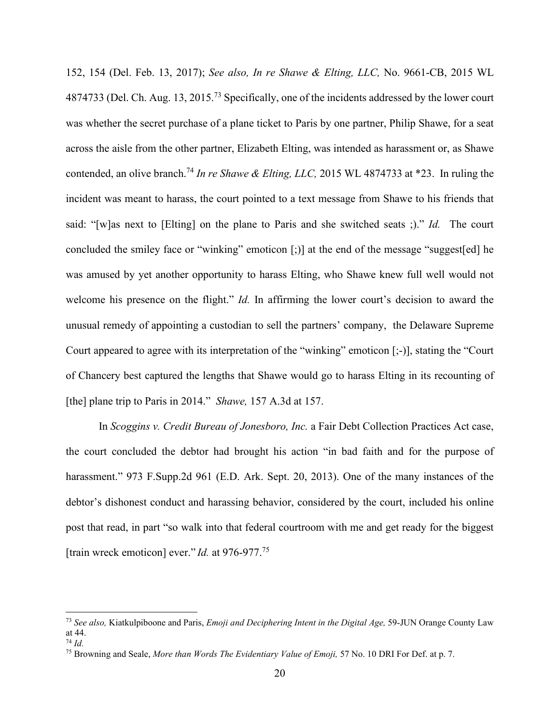152, 154 (Del. Feb. 13, 2017); *See also, In re Shawe & Elting, LLC,* No. 9661-CB, 2015 WL 4874733 (Del. Ch. Aug. 13, 2015.<sup>73</sup> Specifically, one of the incidents addressed by the lower court was whether the secret purchase of a plane ticket to Paris by one partner, Philip Shawe, for a seat across the aisle from the other partner, Elizabeth Elting, was intended as harassment or, as Shawe contended, an olive branch.<sup>74</sup> In re Shawe & Elting, LLC, 2015 WL 4874733 at \*23. In ruling the incident was meant to harass, the court pointed to a text message from Shawe to his friends that said: "[w]as next to [Elting] on the plane to Paris and she switched seats ;)." *Id.* The court concluded the smiley face or "winking" emoticon [;)] at the end of the message "suggest[ed] he was amused by yet another opportunity to harass Elting, who Shawe knew full well would not welcome his presence on the flight." *Id.* In affirming the lower court's decision to award the unusual remedy of appointing a custodian to sell the partners' company, the Delaware Supreme Court appeared to agree with its interpretation of the "winking" emoticon [;-)], stating the "Court of Chancery best captured the lengths that Shawe would go to harass Elting in its recounting of [the] plane trip to Paris in 2014." *Shawe,* 157 A.3d at 157.

In *Scoggins v. Credit Bureau of Jonesboro, Inc.* a Fair Debt Collection Practices Act case, the court concluded the debtor had brought his action "in bad faith and for the purpose of harassment." 973 F.Supp.2d 961 (E.D. Ark. Sept. 20, 2013). One of the many instances of the debtor's dishonest conduct and harassing behavior, considered by the court, included his online post that read, in part "so walk into that federal courtroom with me and get ready for the biggest [train wreck emoticon] ever." *Id.* at 976-977.<sup>75</sup>

<sup>73</sup> *See also,* Kiatkulpiboone and Paris, *Emoji and Deciphering Intent in the Digital Age,* 59-JUN Orange County Law at 44.

<sup>74</sup> *Id.* 

<sup>75</sup> Browning and Seale, *More than Words The Evidentiary Value of Emoji,* 57 No. 10 DRI For Def. at p. 7.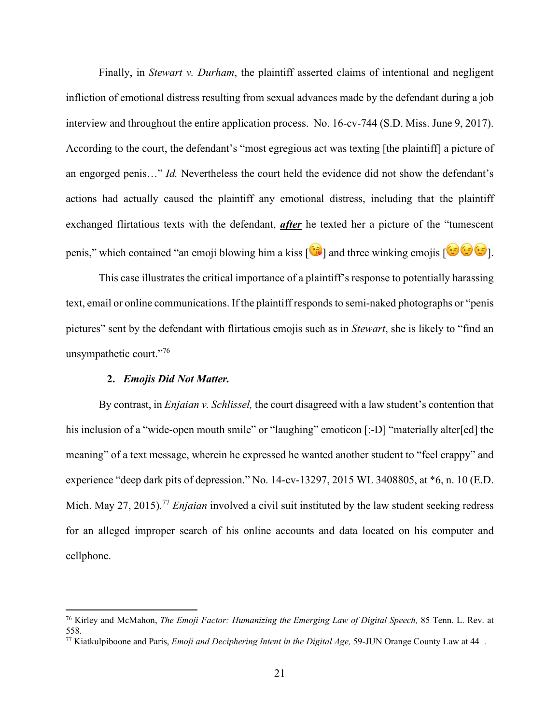Finally, in *Stewart v. Durham*, the plaintiff asserted claims of intentional and negligent infliction of emotional distress resulting from sexual advances made by the defendant during a job interview and throughout the entire application process. No. 16-cv-744 (S.D. Miss. June 9, 2017). According to the court, the defendant's "most egregious act was texting [the plaintiff] a picture of an engorged penis…" *Id.* Nevertheless the court held the evidence did not show the defendant's actions had actually caused the plaintiff any emotional distress, including that the plaintiff exchanged flirtatious texts with the defendant, *after* he texted her a picture of the "tumescent penis," which contained "an emoji blowing him a kiss  $\left[\mathbf{G}\right]$  and three winking emojis  $\left[\mathbf{G}\right]$ .

This case illustrates the critical importance of a plaintiff's response to potentially harassing text, email or online communications. If the plaintiff responds to semi-naked photographs or "penis pictures" sent by the defendant with flirtatious emojis such as in *Stewart*, she is likely to "find an unsympathetic court."76

## **2.** *Emojis Did Not Matter.*

By contrast, in *Enjaian v. Schlissel,* the court disagreed with a law student's contention that his inclusion of a "wide-open mouth smile" or "laughing" emoticon [:-D] "materially alter[ed] the meaning" of a text message, wherein he expressed he wanted another student to "feel crappy" and experience "deep dark pits of depression." No. 14-cv-13297, 2015 WL 3408805, at \*6, n. 10 (E.D. Mich. May 27, 2015).<sup>77</sup> *Enjaian* involved a civil suit instituted by the law student seeking redress for an alleged improper search of his online accounts and data located on his computer and cellphone.

<sup>76</sup> Kirley and McMahon, *The Emoji Factor: Humanizing the Emerging Law of Digital Speech,* 85 Tenn. L. Rev. at 558.

<sup>77</sup> Kiatkulpiboone and Paris, *Emoji and Deciphering Intent in the Digital Age,* 59-JUN Orange County Law at 44 .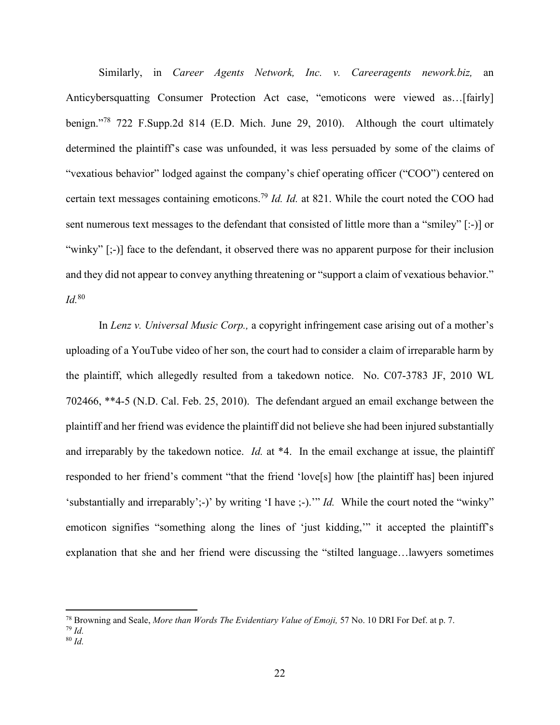Similarly, in *Career Agents Network, Inc. v. Careeragents nework.biz,* an Anticybersquatting Consumer Protection Act case, "emoticons were viewed as…[fairly] benign."<sup>78</sup> 722 F.Supp.2d 814 (E.D. Mich. June 29, 2010). Although the court ultimately determined the plaintiff's case was unfounded, it was less persuaded by some of the claims of "vexatious behavior" lodged against the company's chief operating officer ("COO") centered on certain text messages containing emoticons. <sup>79</sup> *Id. Id.* at 821. While the court noted the COO had sent numerous text messages to the defendant that consisted of little more than a "smiley" [:-)] or "winky" [;-)] face to the defendant, it observed there was no apparent purpose for their inclusion and they did not appear to convey anything threatening or "support a claim of vexatious behavior." *Id.*<sup>80</sup>

In *Lenz v. Universal Music Corp.,* a copyright infringement case arising out of a mother's uploading of a YouTube video of her son, the court had to consider a claim of irreparable harm by the plaintiff, which allegedly resulted from a takedown notice. No. C07-3783 JF, 2010 WL 702466, \*\*4-5 (N.D. Cal. Feb. 25, 2010). The defendant argued an email exchange between the plaintiff and her friend was evidence the plaintiff did not believe she had been injured substantially and irreparably by the takedown notice. *Id.* at \*4. In the email exchange at issue, the plaintiff responded to her friend's comment "that the friend 'love[s] how [the plaintiff has] been injured 'substantially and irreparably';-)' by writing 'I have ;-).'" *Id.* While the court noted the "winky" emoticon signifies "something along the lines of 'just kidding,'" it accepted the plaintiff's explanation that she and her friend were discussing the "stilted language…lawyers sometimes

<sup>78</sup> Browning and Seale, *More than Words The Evidentiary Value of Emoji,* 57 No. 10 DRI For Def. at p. 7.

 $79$  *Id.* 

<sup>80</sup> *Id.*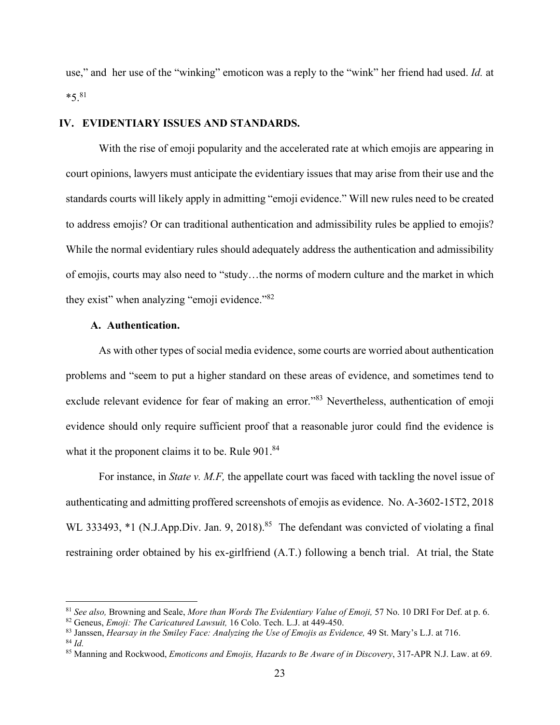use," and her use of the "winking" emoticon was a reply to the "wink" her friend had used. *Id.* at  $*5.^{81}$ 

## **IV. EVIDENTIARY ISSUES AND STANDARDS.**

With the rise of emoji popularity and the accelerated rate at which emojis are appearing in court opinions, lawyers must anticipate the evidentiary issues that may arise from their use and the standards courts will likely apply in admitting "emoji evidence." Will new rules need to be created to address emojis? Or can traditional authentication and admissibility rules be applied to emojis? While the normal evidentiary rules should adequately address the authentication and admissibility of emojis, courts may also need to "study…the norms of modern culture and the market in which they exist" when analyzing "emoji evidence."<sup>82</sup>

## **A. Authentication.**

As with other types of social media evidence, some courts are worried about authentication problems and "seem to put a higher standard on these areas of evidence, and sometimes tend to exclude relevant evidence for fear of making an error."<sup>83</sup> Nevertheless, authentication of emoji evidence should only require sufficient proof that a reasonable juror could find the evidence is what it the proponent claims it to be. Rule 901.<sup>84</sup>

For instance, in *State v. M.F,* the appellate court was faced with tackling the novel issue of authenticating and admitting proffered screenshots of emojis as evidence. No. A-3602-15T2, 2018 WL 333493, \*1 (N.J.App.Div. Jan. 9, 2018).<sup>85</sup> The defendant was convicted of violating a final restraining order obtained by his ex-girlfriend (A.T.) following a bench trial. At trial, the State

<sup>81</sup> *See also,* Browning and Seale, *More than Words The Evidentiary Value of Emoji,* 57 No. 10 DRI For Def. at p. 6.

<sup>82</sup> Geneus, *Emoji: The Caricatured Lawsuit,* 16 Colo. Tech. L.J. at 449-450.

<sup>&</sup>lt;sup>83</sup> Janssen, *Hearsay in the Smiley Face: Analyzing the Use of Emojis as Evidence*, 49 St. Mary's L.J. at 716. <sup>84</sup> *Id*.

<sup>85</sup> Manning and Rockwood, *Emoticons and Emojis, Hazards to Be Aware of in Discovery*, 317-APR N.J. Law. at 69.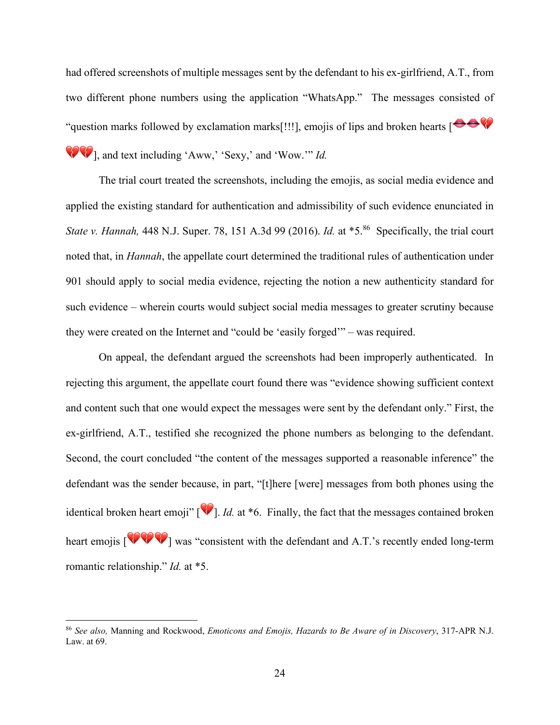had offered screenshots of multiple messages sent by the defendant to his ex-girlfriend, A.T., from two different phone numbers using the application "WhatsApp." The messages consisted of "question marks followed by exclamation marks[!!!], emojis of lips and broken hearts  $\begin{array}{c} \bullet \bullet \bullet \end{array}$ 

], and text including 'Aww,' 'Sexy,' and 'Wow.'" *Id.* 

The trial court treated the screenshots, including the emojis, as social media evidence and applied the existing standard for authentication and admissibility of such evidence enunciated in *State v. Hannah,* 448 N.J. Super. 78, 151 A.3d 99 (2016). *Id.* at \*5. <sup>86</sup> Specifically, the trial court noted that, in *Hannah*, the appellate court determined the traditional rules of authentication under 901 should apply to social media evidence, rejecting the notion a new authenticity standard for such evidence – wherein courts would subject social media messages to greater scrutiny because they were created on the Internet and "could be 'easily forged'" – was required.

On appeal, the defendant argued the screenshots had been improperly authenticated. In rejecting this argument, the appellate court found there was "evidence showing sufficient context and content such that one would expect the messages were sent by the defendant only." First, the ex-girlfriend, A.T., testified she recognized the phone numbers as belonging to the defendant. Second, the court concluded "the content of the messages supported a reasonable inference" the defendant was the sender because, in part, "[t]here [were] messages from both phones using the identical broken heart emoji" [<sup>1</sup>]. *Id.* at \*6. Finally, the fact that the messages contained broken heart emojis  $\left[\sqrt{\sqrt{2}}\right]$  was "consistent with the defendant and A.T.'s recently ended long-term romantic relationship." *Id.* at \*5.

<sup>86</sup> *See also,* Manning and Rockwood, *Emoticons and Emojis, Hazards to Be Aware of in Discovery*, 317-APR N.J. Law. at 69.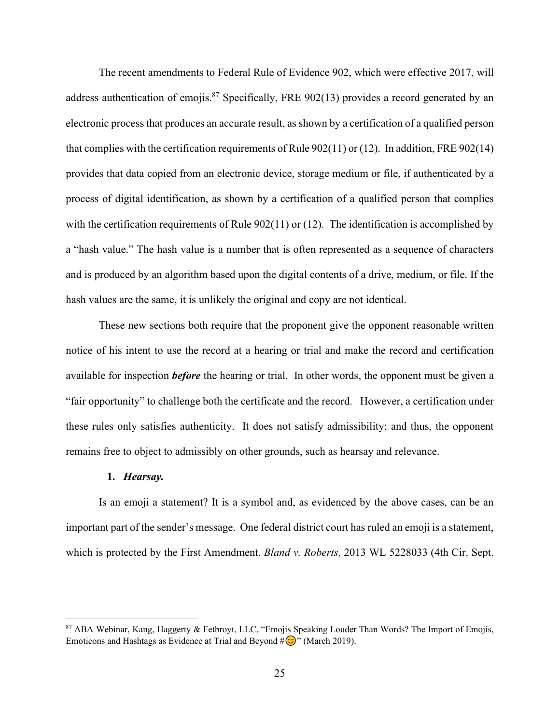The recent amendments to Federal Rule of Evidence 902, which were effective 2017, will address authentication of emojis.<sup>87</sup> Specifically, FRE 902(13) provides a record generated by an electronic process that produces an accurate result, as shown by a certification of a qualified person that complies with the certification requirements of Rule 902(11) or (12). In addition, FRE 902(14) provides that data copied from an electronic device, storage medium or file, if authenticated by a process of digital identification, as shown by a certification of a qualified person that complies with the certification requirements of Rule 902(11) or (12). The identification is accomplished by a "hash value." The hash value is a number that is often represented as a sequence of characters and is produced by an algorithm based upon the digital contents of a drive, medium, or file. If the hash values are the same, it is unlikely the original and copy are not identical.

These new sections both require that the proponent give the opponent reasonable written notice of his intent to use the record at a hearing or trial and make the record and certification available for inspection *before* the hearing or trial. In other words, the opponent must be given a "fair opportunity" to challenge both the certificate and the record. However, a certification under these rules only satisfies authenticity. It does not satisfy admissibility; and thus, the opponent remains free to object to admissibly on other grounds, such as hearsay and relevance.

#### **1.** *Hearsay.*

Is an emoji a statement? It is a symbol and, as evidenced by the above cases, can be an important part of the sender's message. One federal district court has ruled an emoji is a statement, which is protected by the First Amendment. *Bland v. Roberts*, 2013 WL 5228033 (4th Cir. Sept.

<sup>87</sup> ABA Webinar, Kang, Haggerty & Fetbroyt, LLC, "Emojis Speaking Louder Than Words? The Import of Emojis, Emoticons and Hashtags as Evidence at Trial and Beyond  $\# \bigcirc$ " (March 2019).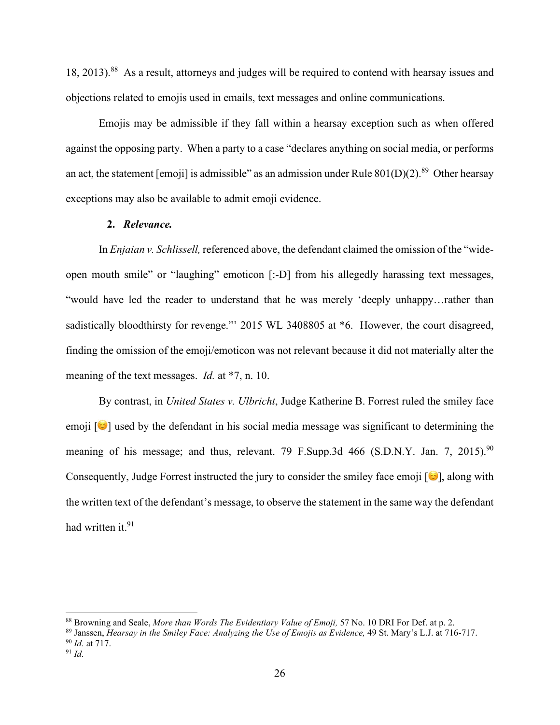18, 2013).88 As a result, attorneys and judges will be required to contend with hearsay issues and objections related to emojis used in emails, text messages and online communications.

Emojis may be admissible if they fall within a hearsay exception such as when offered against the opposing party. When a party to a case "declares anything on social media, or performs an act, the statement [emoji] is admissible" as an admission under Rule  $801(D)(2)$ .<sup>89</sup> Other hearsay exceptions may also be available to admit emoji evidence.

### **2.** *Relevance.*

In *Enjaian v. Schlissell,* referenced above, the defendant claimed the omission of the "wideopen mouth smile" or "laughing" emoticon [:-D] from his allegedly harassing text messages, "would have led the reader to understand that he was merely 'deeply unhappy…rather than sadistically bloodthirsty for revenge." 2015 WL 3408805 at  $*6$ . However, the court disagreed, finding the omission of the emoji/emoticon was not relevant because it did not materially alter the meaning of the text messages. *Id.* at \*7, n. 10.

By contrast, in *United States v. Ulbricht*, Judge Katherine B. Forrest ruled the smiley face emoji  $\left[\bullet\right]$  used by the defendant in his social media message was significant to determining the meaning of his message; and thus, relevant. 79 F.Supp.3d 466 (S.D.N.Y. Jan. 7, 2015).<sup>90</sup> Consequently, Judge Forrest instructed the jury to consider the smiley face emoji  $[\bullet]$ , along with the written text of the defendant's message, to observe the statement in the same way the defendant had written it.<sup>91</sup>

<sup>88</sup> Browning and Seale, *More than Words The Evidentiary Value of Emoji,* 57 No. 10 DRI For Def. at p. 2.

<sup>89</sup> Janssen, *Hearsay in the Smiley Face: Analyzing the Use of Emojis as Evidence,* 49 St. Mary's L.J. at 716-717. <sup>90</sup> *Id.* at 717.

 $91$  *Id.*